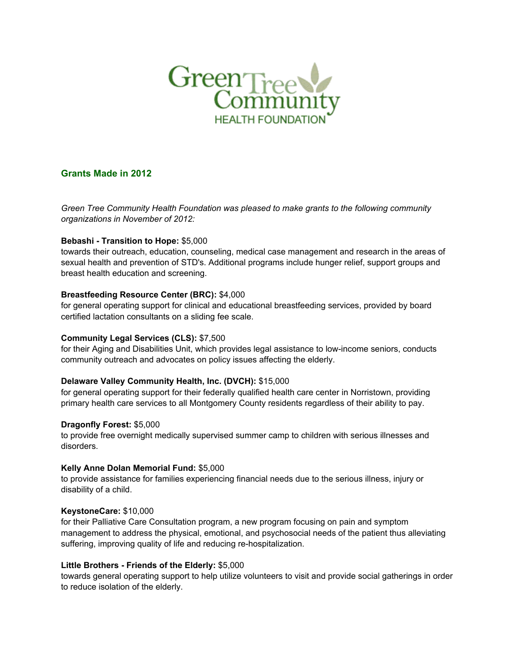

# **Grants Made in 2012**

*Green Tree Community Health Foundation was pleased to make grants to the following community organizations in November of 2012:*

## **Bebashi - Transition to Hope:** \$5,000

towards their outreach, education, counseling, medical case management and research in the areas of sexual health and prevention of STD's. Additional programs include hunger relief, support groups and breast health education and screening.

## **Breastfeeding Resource Center (BRC):** \$4,000

for general operating support for clinical and educational breastfeeding services, provided by board certified lactation consultants on a sliding fee scale.

## **Community Legal Services (CLS):** \$7,500

for their Aging and Disabilities Unit, which provides legal assistance to low-income seniors, conducts community outreach and advocates on policy issues affecting the elderly.

# **Delaware Valley Community Health, Inc. (DVCH):** \$15,000

for general operating support for their federally qualified health care center in Norristown, providing primary health care services to all Montgomery County residents regardless of their ability to pay.

#### **Dragonfly Forest:** \$5,000

to provide free overnight medically supervised summer camp to children with serious illnesses and disorders.

#### **Kelly Anne Dolan Memorial Fund:** \$5,000

to provide assistance for families experiencing financial needs due to the serious illness, injury or disability of a child.

#### **KeystoneCare:** \$10,000

for their Palliative Care Consultation program, a new program focusing on pain and symptom management to address the physical, emotional, and psychosocial needs of the patient thus alleviating suffering, improving quality of life and reducing re-hospitalization.

# **Little Brothers - Friends of the Elderly:** \$5,000

towards general operating support to help utilize volunteers to visit and provide social gatherings in order to reduce isolation of the elderly.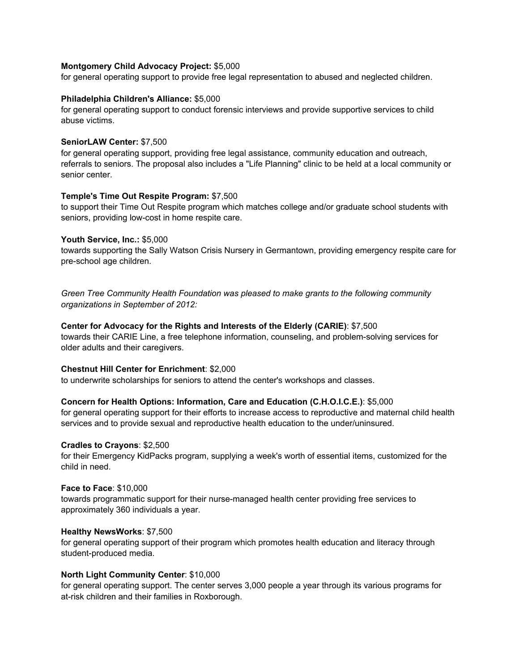#### **Montgomery Child Advocacy Project:** \$5,000

for general operating support to provide free legal representation to abused and neglected children.

#### **Philadelphia Children's Alliance:** \$5,000

for general operating support to conduct forensic interviews and provide supportive services to child abuse victims.

#### **SeniorLAW Center:** \$7,500

for general operating support, providing free legal assistance, community education and outreach, referrals to seniors. The proposal also includes a "Life Planning" clinic to be held at a local community or senior center.

## **Temple's Time Out Respite Program:** \$7,500

to support their Time Out Respite program which matches college and/or graduate school students with seniors, providing low-cost in home respite care.

## **Youth Service, Inc.:** \$5,000

towards supporting the Sally Watson Crisis Nursery in Germantown, providing emergency respite care for pre-school age children.

*Green Tree Community Health Foundation was pleased to make grants to the following community organizations in September of 2012:*

## **Center for Advocacy for the Rights and Interests of the Elderly (CARIE)**: \$7,500

towards their CARIE Line, a free telephone information, counseling, and problem-solving services for older adults and their caregivers.

#### **Chestnut Hill Center for Enrichment**: \$2,000

to underwrite scholarships for seniors to attend the center's workshops and classes.

#### **Concern for Health Options: Information, Care and Education (C.H.O.I.C.E.)**: \$5,000

for general operating support for their efforts to increase access to reproductive and maternal child health services and to provide sexual and reproductive health education to the under/uninsured.

#### **Cradles to Crayons**: \$2,500

for their Emergency KidPacks program, supplying a week's worth of essential items, customized for the child in need.

#### **Face to Face**: \$10,000

towards programmatic support for their nurse-managed health center providing free services to approximately 360 individuals a year.

#### **Healthy NewsWorks**: \$7,500

for general operating support of their program which promotes health education and literacy through student-produced media.

#### **North Light Community Center**: \$10,000

for general operating support. The center serves 3,000 people a year through its various programs for at-risk children and their families in Roxborough.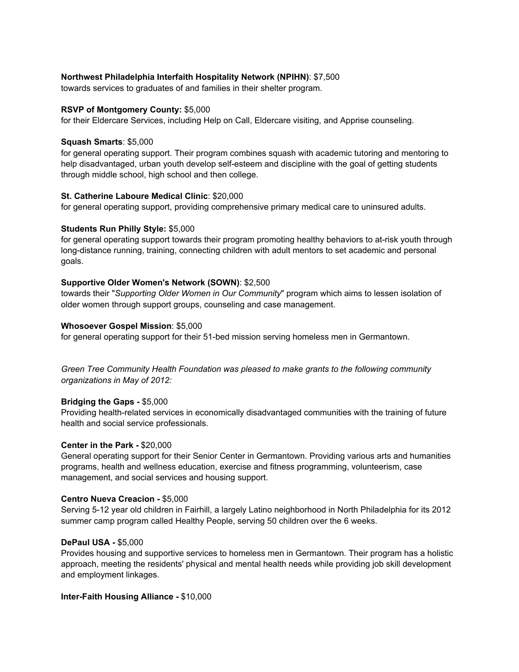## **Northwest Philadelphia Interfaith Hospitality Network (NPIHN)**: \$7,500

towards services to graduates of and families in their shelter program.

#### **RSVP of Montgomery County:** \$5,000

for their Eldercare Services, including Help on Call, Eldercare visiting, and Apprise counseling.

#### **Squash Smarts**: \$5,000

for general operating support. Their program combines squash with academic tutoring and mentoring to help disadvantaged, urban youth develop self-esteem and discipline with the goal of getting students through middle school, high school and then college.

## **St. Catherine Laboure Medical Clinic**: \$20,000

for general operating support, providing comprehensive primary medical care to uninsured adults.

## **Students Run Philly Style:** \$5,000

for general operating support towards their program promoting healthy behaviors to at-risk youth through long-distance running, training, connecting children with adult mentors to set academic and personal goals.

## **Supportive Older Women's Network (SOWN)**: \$2,500

towards their "*Supporting Older Women in Our Community*" program which aims to lessen isolation of older women through support groups, counseling and case management.

#### **Whosoever Gospel Mission**: \$5,000

for general operating support for their 51-bed mission serving homeless men in Germantown.

*Green Tree Community Health Foundation was pleased to make grants to the following community organizations in May of 2012:*

# **Bridging the Gaps -** \$5,000

Providing health-related services in economically disadvantaged communities with the training of future health and social service professionals.

#### **Center in the Park -** \$20,000

General operating support for their Senior Center in Germantown. Providing various arts and humanities programs, health and wellness education, exercise and fitness programming, volunteerism, case management, and social services and housing support.

#### **Centro Nueva Creacion -** \$5,000

Serving 5-12 year old children in Fairhill, a largely Latino neighborhood in North Philadelphia for its 2012 summer camp program called Healthy People, serving 50 children over the 6 weeks.

#### **DePaul USA -** \$5,000

Provides housing and supportive services to homeless men in Germantown. Their program has a holistic approach, meeting the residents' physical and mental health needs while providing job skill development and employment linkages.

#### **Inter-Faith Housing Alliance -** \$10,000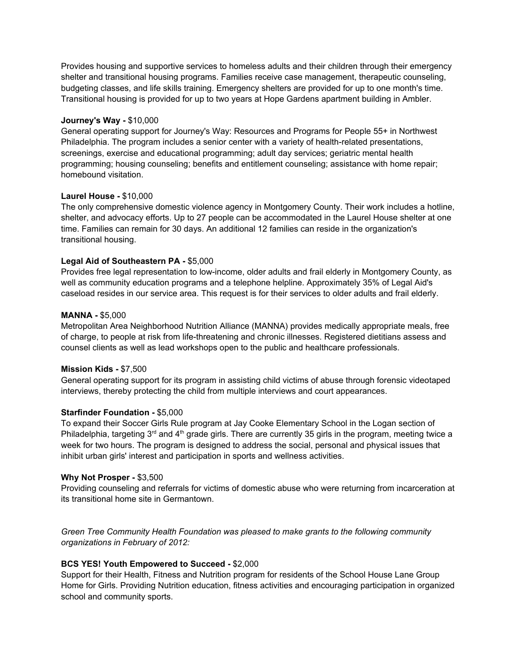Provides housing and supportive services to homeless adults and their children through their emergency shelter and transitional housing programs. Families receive case management, therapeutic counseling, budgeting classes, and life skills training. Emergency shelters are provided for up to one month's time. Transitional housing is provided for up to two years at Hope Gardens apartment building in Ambler.

#### **Journey's Way -** \$10,000

General operating support for Journey's Way: Resources and Programs for People 55+ in Northwest Philadelphia. The program includes a senior center with a variety of health-related presentations, screenings, exercise and educational programming; adult day services; geriatric mental health programming; housing counseling; benefits and entitlement counseling; assistance with home repair; homebound visitation.

#### **Laurel House -** \$10,000

The only comprehensive domestic violence agency in Montgomery County. Their work includes a hotline, shelter, and advocacy efforts. Up to 27 people can be accommodated in the Laurel House shelter at one time. Families can remain for 30 days. An additional 12 families can reside in the organization's transitional housing.

#### **Legal Aid of Southeastern PA -** \$5,000

Provides free legal representation to low-income, older adults and frail elderly in Montgomery County, as well as community education programs and a telephone helpline. Approximately 35% of Legal Aid's caseload resides in our service area. This request is for their services to older adults and frail elderly.

#### **MANNA -** \$5,000

Metropolitan Area Neighborhood Nutrition Alliance (MANNA) provides medically appropriate meals, free of charge, to people at risk from life-threatening and chronic illnesses. Registered dietitians assess and counsel clients as well as lead workshops open to the public and healthcare professionals.

#### **Mission Kids -** \$7,500

General operating support for its program in assisting child victims of abuse through forensic videotaped interviews, thereby protecting the child from multiple interviews and court appearances.

#### **Starfinder Foundation -** \$5,000

To expand their Soccer Girls Rule program at Jay Cooke Elementary School in the Logan section of Philadelphia, targeting 3<sup>rd</sup> and 4<sup>th</sup> grade girls. There are currently 35 girls in the program, meeting twice a week for two hours. The program is designed to address the social, personal and physical issues that inhibit urban girls' interest and participation in sports and wellness activities.

#### **Why Not Prosper -** \$3,500

Providing counseling and referrals for victims of domestic abuse who were returning from incarceration at its transitional home site in Germantown.

*Green Tree Community Health Foundation was pleased to make grants to the following community organizations in February of 2012:*

#### **BCS YES! Youth Empowered to Succeed -** \$2,000

Support for their Health, Fitness and Nutrition program for residents of the School House Lane Group Home for Girls. Providing Nutrition education, fitness activities and encouraging participation in organized school and community sports.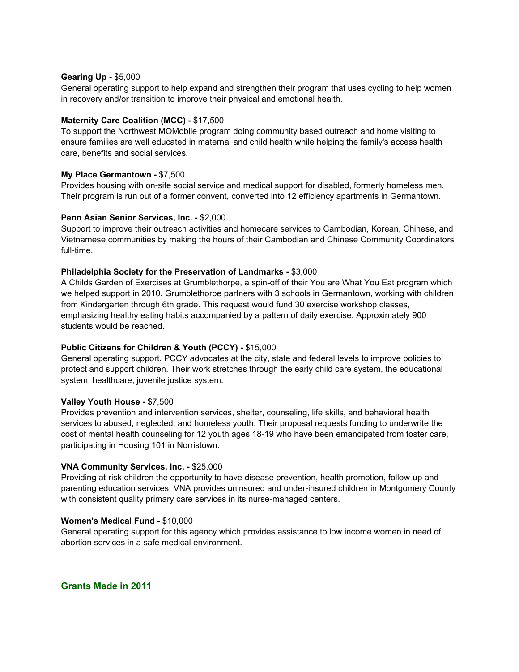#### **Gearing Up -** \$5,000

General operating support to help expand and strengthen their program that uses cycling to help women in recovery and/or transition to improve their physical and emotional health.

## **Maternity Care Coalition (MCC) -** \$17,500

To support the Northwest MOMobile program doing community based outreach and home visiting to ensure families are well educated in maternal and child health while helping the family's access health care, benefits and social services.

## **My Place Germantown -** \$7,500

Provides housing with on-site social service and medical support for disabled, formerly homeless men. Their program is run out of a former convent, converted into 12 efficiency apartments in Germantown.

## **Penn Asian Senior Services, Inc. -** \$2,000

Support to improve their outreach activities and homecare services to Cambodian, Korean, Chinese, and Vietnamese communities by making the hours of their Cambodian and Chinese Community Coordinators full-time.

## **Philadelphia Society for the Preservation of Landmarks -** \$3,000

A Childs Garden of Exercises at Grumblethorpe, a spin-off of their You are What You Eat program which we helped support in 2010. Grumblethorpe partners with 3 schools in Germantown, working with children from Kindergarten through 6th grade. This request would fund 30 exercise workshop classes, emphasizing healthy eating habits accompanied by a pattern of daily exercise. Approximately 900 students would be reached.

# **Public Citizens for Children & Youth (PCCY) -** \$15,000

General operating support. PCCY advocates at the city, state and federal levels to improve policies to protect and support children. Their work stretches through the early child care system, the educational system, healthcare, juvenile justice system.

#### **Valley Youth House -** \$7,500

Provides prevention and intervention services, shelter, counseling, life skills, and behavioral health services to abused, neglected, and homeless youth. Their proposal requests funding to underwrite the cost of mental health counseling for 12 youth ages 18-19 who have been emancipated from foster care, participating in Housing 101 in Norristown.

# **VNA Community Services, Inc. -** \$25,000

Providing at-risk children the opportunity to have disease prevention, health promotion, follow-up and parenting education services. VNA provides uninsured and under-insured children in Montgomery County with consistent quality primary care services in its nurse-managed centers.

#### **Women's Medical Fund -** \$10,000

General operating support for this agency which provides assistance to low income women in need of abortion services in a safe medical environment.

**Grants Made in 2011**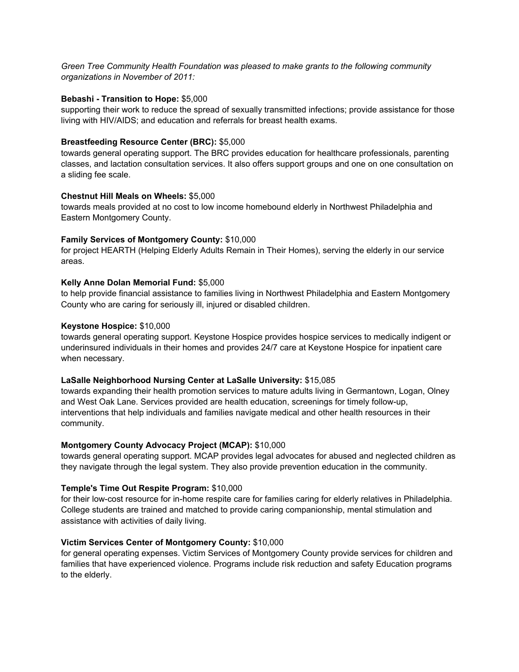*Green Tree Community Health Foundation was pleased to make grants to the following community organizations in November of 2011:*

#### **Bebashi - Transition to Hope:** \$5,000

supporting their work to reduce the spread of sexually transmitted infections; provide assistance for those living with HIV/AIDS; and education and referrals for breast health exams.

## **Breastfeeding Resource Center (BRC):** \$5,000

towards general operating support. The BRC provides education for healthcare professionals, parenting classes, and lactation consultation services. It also offers support groups and one on one consultation on a sliding fee scale.

#### **Chestnut Hill Meals on Wheels:** \$5,000

towards meals provided at no cost to low income homebound elderly in Northwest Philadelphia and Eastern Montgomery County.

## **Family Services of Montgomery County:** \$10,000

for project HEARTH (Helping Elderly Adults Remain in Their Homes), serving the elderly in our service areas.

## **Kelly Anne Dolan Memorial Fund:** \$5,000

to help provide financial assistance to families living in Northwest Philadelphia and Eastern Montgomery County who are caring for seriously ill, injured or disabled children.

#### **Keystone Hospice:** \$10,000

towards general operating support. Keystone Hospice provides hospice services to medically indigent or underinsured individuals in their homes and provides 24/7 care at Keystone Hospice for inpatient care when necessary.

#### **LaSalle Neighborhood Nursing Center at LaSalle University:** \$15,085

towards expanding their health promotion services to mature adults living in Germantown, Logan, Olney and West Oak Lane. Services provided are health education, screenings for timely follow-up, interventions that help individuals and families navigate medical and other health resources in their community.

#### **Montgomery County Advocacy Project (MCAP):** \$10,000

towards general operating support. MCAP provides legal advocates for abused and neglected children as they navigate through the legal system. They also provide prevention education in the community.

#### **Temple's Time Out Respite Program:** \$10,000

for their low-cost resource for in-home respite care for families caring for elderly relatives in Philadelphia. College students are trained and matched to provide caring companionship, mental stimulation and assistance with activities of daily living.

#### **Victim Services Center of Montgomery County:** \$10,000

for general operating expenses. Victim Services of Montgomery County provide services for children and families that have experienced violence. Programs include risk reduction and safety Education programs to the elderly.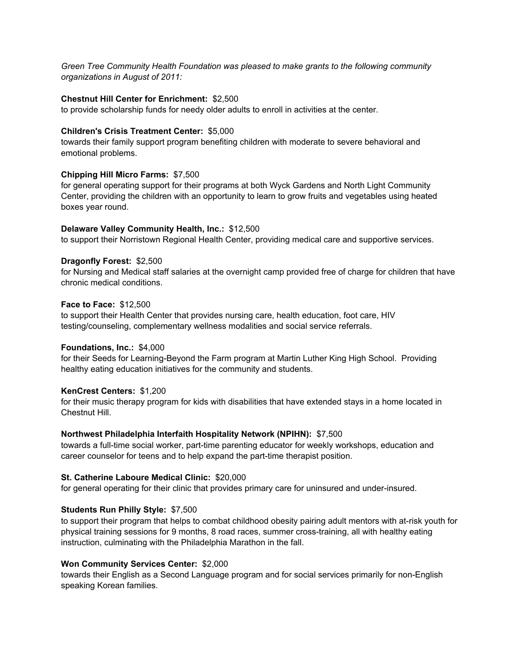*Green Tree Community Health Foundation was pleased to make grants to the following community organizations in August of 2011:*

#### **Chestnut Hill Center for Enrichment:** \$2,500

to provide scholarship funds for needy older adults to enroll in activities at the center.

#### **Children's Crisis Treatment Center:** \$5,000

towards their family support program benefiting children with moderate to severe behavioral and emotional problems.

## **Chipping Hill Micro Farms:** \$7,500

for general operating support for their programs at both Wyck Gardens and North Light Community Center, providing the children with an opportunity to learn to grow fruits and vegetables using heated boxes year round.

## **Delaware Valley Community Health, Inc.:** \$12,500

to support their Norristown Regional Health Center, providing medical care and supportive services.

## **Dragonfly Forest:** \$2,500

for Nursing and Medical staff salaries at the overnight camp provided free of charge for children that have chronic medical conditions.

## **Face to Face:** \$12,500

to support their Health Center that provides nursing care, health education, foot care, HIV testing/counseling, complementary wellness modalities and social service referrals.

#### **Foundations, Inc.:** \$4,000

for their Seeds for Learning-Beyond the Farm program at Martin Luther King High School. Providing healthy eating education initiatives for the community and students.

#### **KenCrest Centers:** \$1,200

for their music therapy program for kids with disabilities that have extended stays in a home located in Chestnut Hill.

#### **Northwest Philadelphia Interfaith Hospitality Network (NPIHN):** \$7,500

towards a full-time social worker, part-time parenting educator for weekly workshops, education and career counselor for teens and to help expand the part-time therapist position.

#### **St. Catherine Laboure Medical Clinic:** \$20,000

for general operating for their clinic that provides primary care for uninsured and under-insured.

# **Students Run Philly Style:** \$7,500

to support their program that helps to combat childhood obesity pairing adult mentors with at-risk youth for physical training sessions for 9 months, 8 road races, summer cross-training, all with healthy eating instruction, culminating with the Philadelphia Marathon in the fall.

#### **Won Community Services Center:** \$2,000

towards their English as a Second Language program and for social services primarily for non-English speaking Korean families.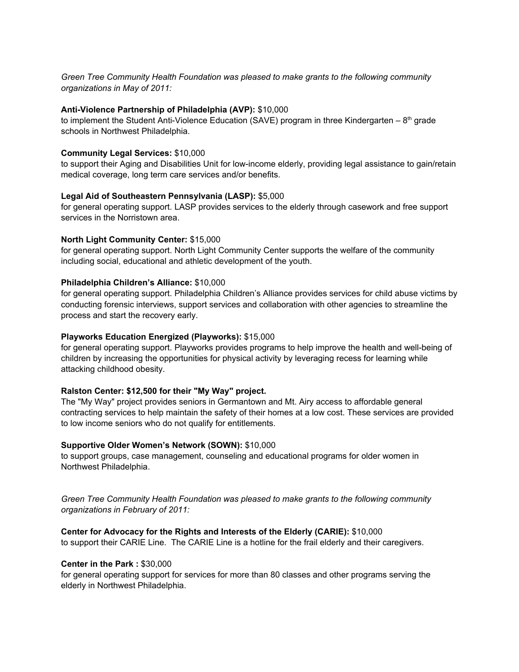*Green Tree Community Health Foundation was pleased to make grants to the following community organizations in May of 2011:*

#### **Anti-Violence Partnership of Philadelphia (AVP):** \$10,000

to implement the Student Anti-Violence Education (SAVE) program in three Kindergarten – 8<sup>th</sup> grade schools in Northwest Philadelphia.

#### **Community Legal Services:** \$10,000

to support their Aging and Disabilities Unit for low-income elderly, providing legal assistance to gain/retain medical coverage, long term care services and/or benefits.

#### **Legal Aid of Southeastern Pennsylvania (LASP):** \$5,000

for general operating support. LASP provides services to the elderly through casework and free support services in the Norristown area.

#### **North Light Community Center:** \$15,000

for general operating support. North Light Community Center supports the welfare of the community including social, educational and athletic development of the youth.

#### **Philadelphia Children's Alliance:** \$10,000

for general operating support. Philadelphia Children's Alliance provides services for child abuse victims by conducting forensic interviews, support services and collaboration with other agencies to streamline the process and start the recovery early.

#### **Playworks Education Energized (Playworks):** \$15,000

for general operating support. Playworks provides programs to help improve the health and well-being of children by increasing the opportunities for physical activity by leveraging recess for learning while attacking childhood obesity.

#### **Ralston Center: \$12,500 for their "My Way" project.**

The "My Way" project provides seniors in Germantown and Mt. Airy access to affordable general contracting services to help maintain the safety of their homes at a low cost. These services are provided to low income seniors who do not qualify for entitlements.

#### **Supportive Older Women's Network (SOWN):** \$10,000

to support groups, case management, counseling and educational programs for older women in Northwest Philadelphia.

*Green Tree Community Health Foundation was pleased to make grants to the following community organizations in February of 2011:*

**Center for Advocacy for the Rights and Interests of the Elderly (CARIE):** \$10,000

to support their CARIE Line. The CARIE Line is a hotline for the frail elderly and their caregivers.

#### **Center in the Park :** \$30,000

for general operating support for services for more than 80 classes and other programs serving the elderly in Northwest Philadelphia.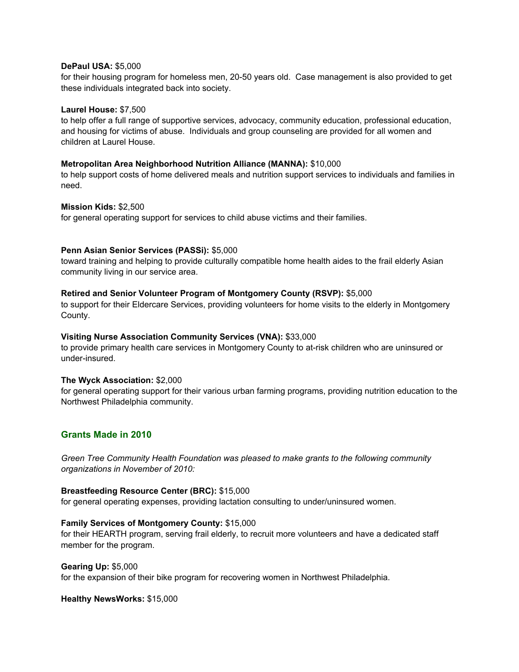#### **DePaul USA:** \$5,000

for their housing program for homeless men, 20-50 years old. Case management is also provided to get these individuals integrated back into society.

#### **Laurel House:** \$7,500

to help offer a full range of supportive services, advocacy, community education, professional education, and housing for victims of abuse. Individuals and group counseling are provided for all women and children at Laurel House.

#### **Metropolitan Area Neighborhood Nutrition Alliance (MANNA):** \$10,000

to help support costs of home delivered meals and nutrition support services to individuals and families in need.

#### **Mission Kids:** \$2,500

for general operating support for services to child abuse victims and their families.

#### **Penn Asian Senior Services (PASSi):** \$5,000

toward training and helping to provide culturally compatible home health aides to the frail elderly Asian community living in our service area.

#### **Retired and Senior Volunteer Program of Montgomery County (RSVP):** \$5,000

to support for their Eldercare Services, providing volunteers for home visits to the elderly in Montgomery County.

#### **Visiting Nurse Association Community Services (VNA):** \$33,000

to provide primary health care services in Montgomery County to at-risk children who are uninsured or under-insured.

#### **The Wyck Association:** \$2,000

for general operating support for their various urban farming programs, providing nutrition education to the Northwest Philadelphia community.

# **Grants Made in 2010**

*Green Tree Community Health Foundation was pleased to make grants to the following community organizations in November of 2010:*

#### **Breastfeeding Resource Center (BRC):** \$15,000

for general operating expenses, providing lactation consulting to under/uninsured women.

#### **Family Services of Montgomery County:** \$15,000

for their HEARTH program, serving frail elderly, to recruit more volunteers and have a dedicated staff member for the program.

#### **Gearing Up:** \$5,000

for the expansion of their bike program for recovering women in Northwest Philadelphia.

#### **Healthy NewsWorks:** \$15,000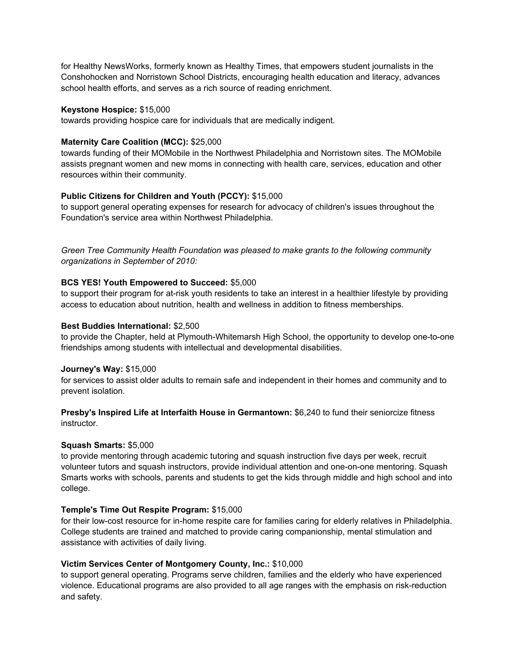for Healthy NewsWorks, formerly known as Healthy Times, that empowers student journalists in the Conshohocken and Norristown School Districts, encouraging health education and literacy, advances school health efforts, and serves as a rich source of reading enrichment.

#### **Keystone Hospice:** \$15,000

towards providing hospice care for individuals that are medically indigent.

## **Maternity Care Coalition (MCC):** \$25,000

towards funding of their MOMobile in the Northwest Philadelphia and Norristown sites. The MOMobile assists pregnant women and new moms in connecting with health care, services, education and other resources within their community.

# **Public Citizens for Children and Youth (PCCY):** \$15,000

to support general operating expenses for research for advocacy of children's issues throughout the Foundation's service area within Northwest Philadelphia.

*Green Tree Community Health Foundation was pleased to make grants to the following community organizations in September of 2010:*

## **BCS YES! Youth Empowered to Succeed:** \$5,000

to support their program for at-risk youth residents to take an interest in a healthier lifestyle by providing access to education about nutrition, health and wellness in addition to fitness memberships.

#### **Best Buddies International:** \$2,500

to provide the Chapter, held at Plymouth-Whitemarsh High School, the opportunity to develop one-to-one friendships among students with intellectual and developmental disabilities.

#### **Journey's Way:** \$15,000

for services to assist older adults to remain safe and independent in their homes and community and to prevent isolation.

**Presby's Inspired Life at Interfaith House in Germantown:** \$6,240 to fund their seniorcize fitness instructor.

#### **Squash Smarts:** \$5,000

to provide mentoring through academic tutoring and squash instruction five days per week, recruit volunteer tutors and squash instructors, provide individual attention and one-on-one mentoring. Squash Smarts works with schools, parents and students to get the kids through middle and high school and into college.

# **Temple's Time Out Respite Program:** \$15,000

for their low-cost resource for in-home respite care for families caring for elderly relatives in Philadelphia. College students are trained and matched to provide caring companionship, mental stimulation and assistance with activities of daily living.

# **Victim Services Center of Montgomery County, Inc.:** \$10,000

to support general operating. Programs serve children, families and the elderly who have experienced violence. Educational programs are also provided to all age ranges with the emphasis on risk-reduction and safety.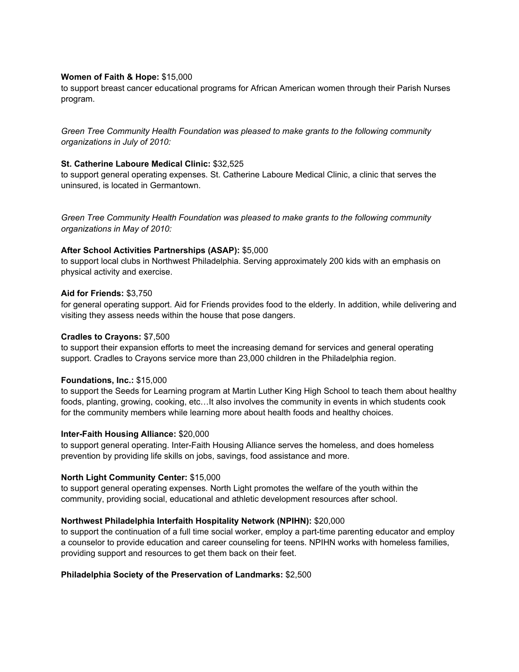## **Women of Faith & Hope:** \$15,000

to support breast cancer educational programs for African American women through their Parish Nurses program.

*Green Tree Community Health Foundation was pleased to make grants to the following community organizations in July of 2010:*

#### **St. Catherine Laboure Medical Clinic:** \$32,525

to support general operating expenses. St. Catherine Laboure Medical Clinic, a clinic that serves the uninsured, is located in Germantown.

*Green Tree Community Health Foundation was pleased to make grants to the following community organizations in May of 2010:*

## **After School Activities Partnerships (ASAP):** \$5,000

to support local clubs in Northwest Philadelphia. Serving approximately 200 kids with an emphasis on physical activity and exercise.

## **Aid for Friends:** \$3,750

for general operating support. Aid for Friends provides food to the elderly. In addition, while delivering and visiting they assess needs within the house that pose dangers.

#### **Cradles to Crayons:** \$7,500

to support their expansion efforts to meet the increasing demand for services and general operating support. Cradles to Crayons service more than 23,000 children in the Philadelphia region.

#### **Foundations, Inc.:** \$15,000

to support the Seeds for Learning program at Martin Luther King High School to teach them about healthy foods, planting, growing, cooking, etc…It also involves the community in events in which students cook for the community members while learning more about health foods and healthy choices.

#### **Inter-Faith Housing Alliance:** \$20,000

to support general operating. Inter-Faith Housing Alliance serves the homeless, and does homeless prevention by providing life skills on jobs, savings, food assistance and more.

#### **North Light Community Center:** \$15,000

to support general operating expenses. North Light promotes the welfare of the youth within the community, providing social, educational and athletic development resources after school.

# **Northwest Philadelphia Interfaith Hospitality Network (NPIHN):** \$20,000

to support the continuation of a full time social worker, employ a part-time parenting educator and employ a counselor to provide education and career counseling for teens. NPIHN works with homeless families, providing support and resources to get them back on their feet.

#### **Philadelphia Society of the Preservation of Landmarks:** \$2,500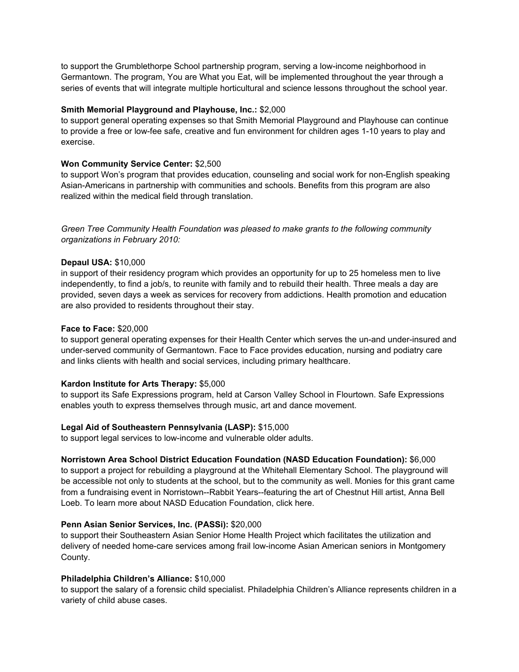to support the Grumblethorpe School partnership program, serving a low-income neighborhood in Germantown. The program, You are What you Eat, will be implemented throughout the year through a series of events that will integrate multiple horticultural and science lessons throughout the school year.

## **Smith Memorial Playground and Playhouse, Inc.:** \$2,000

to support general operating expenses so that Smith Memorial Playground and Playhouse can continue to provide a free or low-fee safe, creative and fun environment for children ages 1-10 years to play and exercise.

## **Won Community Service Center:** \$2,500

to support Won's program that provides education, counseling and social work for non-English speaking Asian-Americans in partnership with communities and schools. Benefits from this program are also realized within the medical field through translation.

*Green Tree Community Health Foundation was pleased to make grants to the following community organizations in February 2010:*

## **Depaul USA:** \$10,000

in support of their residency program which provides an opportunity for up to 25 homeless men to live independently, to find a job/s, to reunite with family and to rebuild their health. Three meals a day are provided, seven days a week as services for recovery from addictions. Health promotion and education are also provided to residents throughout their stay.

## **Face to Face:** \$20,000

to support general operating expenses for their Health Center which serves the un-and under-insured and under-served community of Germantown. Face to Face provides education, nursing and podiatry care and links clients with health and social services, including primary healthcare.

# **Kardon Institute for Arts Therapy:** \$5,000

to support its Safe Expressions program, held at Carson Valley School in Flourtown. Safe Expressions enables youth to express themselves through music, art and dance movement.

# **Legal Aid of Southeastern Pennsylvania (LASP):** \$15,000

to support legal services to low-income and vulnerable older adults.

# **Norristown Area School District Education Foundation (NASD Education Foundation):** \$6,000

to support a project for rebuilding a playground at the Whitehall Elementary School. The playground will be accessible not only to students at the school, but to the community as well. Monies for this grant came from a fundraising event in Norristown--Rabbit Years--featuring the art of Chestnut Hill artist, Anna Bell Loeb. To learn more about NASD Education Foundation, click here.

#### **Penn Asian Senior Services, Inc. (PASSi):** \$20,000

to support their Southeastern Asian Senior Home Health Project which facilitates the utilization and delivery of needed home-care services among frail low-income Asian American seniors in Montgomery County.

# **Philadelphia Children's Alliance:** \$10,000

to support the salary of a forensic child specialist. Philadelphia Children's Alliance represents children in a variety of child abuse cases.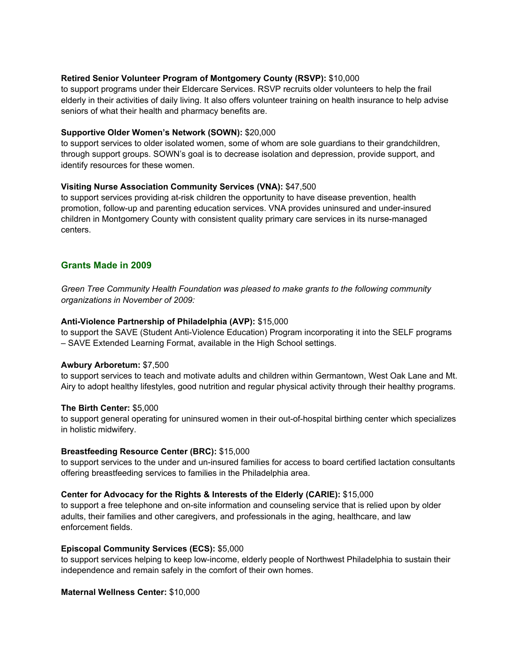## **Retired Senior Volunteer Program of Montgomery County (RSVP):** \$10,000

to support programs under their Eldercare Services. RSVP recruits older volunteers to help the frail elderly in their activities of daily living. It also offers volunteer training on health insurance to help advise seniors of what their health and pharmacy benefits are.

#### **Supportive Older Women's Network (SOWN):** \$20,000

to support services to older isolated women, some of whom are sole guardians to their grandchildren, through support groups. SOWN's goal is to decrease isolation and depression, provide support, and identify resources for these women.

## **Visiting Nurse Association Community Services (VNA):** \$47,500

to support services providing at-risk children the opportunity to have disease prevention, health promotion, follow-up and parenting education services. VNA provides uninsured and under-insured children in Montgomery County with consistent quality primary care services in its nurse-managed centers.

# **Grants Made in 2009**

*Green Tree Community Health Foundation was pleased to make grants to the following community organizations in November of 2009:*

## **Anti-Violence Partnership of Philadelphia (AVP):** \$15,000

to support the SAVE (Student Anti-Violence Education) Program incorporating it into the SELF programs – SAVE Extended Learning Format, available in the High School settings.

#### **Awbury Arboretum:** \$7,500

to support services to teach and motivate adults and children within Germantown, West Oak Lane and Mt. Airy to adopt healthy lifestyles, good nutrition and regular physical activity through their healthy programs.

#### **The Birth Center:** \$5,000

to support general operating for uninsured women in their out-of-hospital birthing center which specializes in holistic midwifery.

#### **Breastfeeding Resource Center (BRC):** \$15,000

to support services to the under and un-insured families for access to board certified lactation consultants offering breastfeeding services to families in the Philadelphia area.

#### **Center for Advocacy for the Rights & Interests of the Elderly (CARIE):** \$15,000

to support a free telephone and on-site information and counseling service that is relied upon by older adults, their families and other caregivers, and professionals in the aging, healthcare, and law enforcement fields.

#### **Episcopal Community Services (ECS):** \$5,000

to support services helping to keep low-income, elderly people of Northwest Philadelphia to sustain their independence and remain safely in the comfort of their own homes.

#### **Maternal Wellness Center:** \$10,000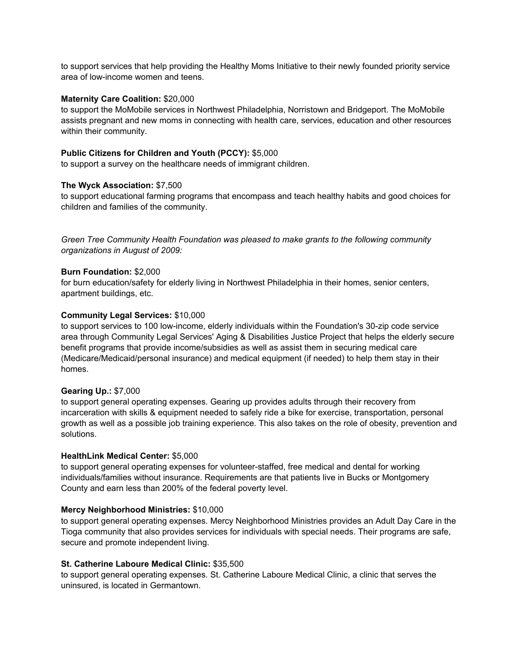to support services that help providing the Healthy Moms Initiative to their newly founded priority service area of low-income women and teens.

#### **Maternity Care Coalition:** \$20,000

to support the MoMobile services in Northwest Philadelphia, Norristown and Bridgeport. The MoMobile assists pregnant and new moms in connecting with health care, services, education and other resources within their community.

## **Public Citizens for Children and Youth (PCCY):** \$5,000

to support a survey on the healthcare needs of immigrant children.

## **The Wyck Association:** \$7,500

to support educational farming programs that encompass and teach healthy habits and good choices for children and families of the community.

*Green Tree Community Health Foundation was pleased to make grants to the following community organizations in August of 2009:*

## **Burn Foundation:** \$2,000

for burn education/safety for elderly living in Northwest Philadelphia in their homes, senior centers, apartment buildings, etc.

## **Community Legal Services:** \$10,000

to support services to 100 low-income, elderly individuals within the Foundation's 30-zip code service area through Community Legal Services' Aging & Disabilities Justice Project that helps the elderly secure benefit programs that provide income/subsidies as well as assist them in securing medical care (Medicare/Medicaid/personal insurance) and medical equipment (if needed) to help them stay in their homes.

#### **Gearing Up.:** \$7,000

to support general operating expenses. Gearing up provides adults through their recovery from incarceration with skills & equipment needed to safely ride a bike for exercise, transportation, personal growth as well as a possible job training experience. This also takes on the role of obesity, prevention and solutions.

#### **HealthLink Medical Center:** \$5,000

to support general operating expenses for volunteer-staffed, free medical and dental for working individuals/families without insurance. Requirements are that patients live in Bucks or Montgomery County and earn less than 200% of the federal poverty level.

# **Mercy Neighborhood Ministries:** \$10,000

to support general operating expenses. Mercy Neighborhood Ministries provides an Adult Day Care in the Tioga community that also provides services for individuals with special needs. Their programs are safe, secure and promote independent living.

#### **St. Catherine Laboure Medical Clinic:** \$35,500

to support general operating expenses. St. Catherine Laboure Medical Clinic, a clinic that serves the uninsured, is located in Germantown.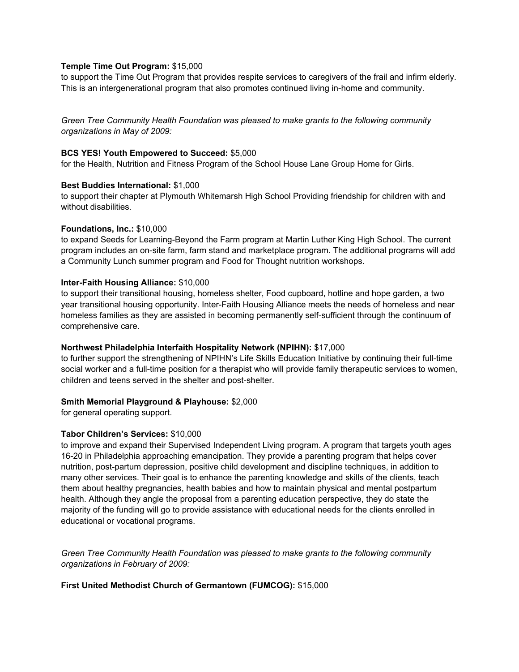## **Temple Time Out Program:** \$15,000

to support the Time Out Program that provides respite services to caregivers of the frail and infirm elderly. This is an intergenerational program that also promotes continued living in-home and community.

*Green Tree Community Health Foundation was pleased to make grants to the following community organizations in May of 2009:*

#### **BCS YES! Youth Empowered to Succeed:** \$5,000

for the Health, Nutrition and Fitness Program of the School House Lane Group Home for Girls.

#### **Best Buddies International:** \$1,000

to support their chapter at Plymouth Whitemarsh High School Providing friendship for children with and without disabilities.

#### **Foundations, Inc.:** \$10,000

to expand Seeds for Learning-Beyond the Farm program at Martin Luther King High School. The current program includes an on-site farm, farm stand and marketplace program. The additional programs will add a Community Lunch summer program and Food for Thought nutrition workshops.

#### **Inter-Faith Housing Alliance:** \$10,000

to support their transitional housing, homeless shelter, Food cupboard, hotline and hope garden, a two year transitional housing opportunity. Inter-Faith Housing Alliance meets the needs of homeless and near homeless families as they are assisted in becoming permanently self-sufficient through the continuum of comprehensive care.

#### **Northwest Philadelphia Interfaith Hospitality Network (NPIHN):** \$17,000

to further support the strengthening of NPIHN's Life Skills Education Initiative by continuing their full-time social worker and a full-time position for a therapist who will provide family therapeutic services to women, children and teens served in the shelter and post-shelter.

#### **Smith Memorial Playground & Playhouse:** \$2,000

for general operating support.

#### **Tabor Children's Services:** \$10,000

to improve and expand their Supervised Independent Living program. A program that targets youth ages 16-20 in Philadelphia approaching emancipation. They provide a parenting program that helps cover nutrition, post-partum depression, positive child development and discipline techniques, in addition to many other services. Their goal is to enhance the parenting knowledge and skills of the clients, teach them about healthy pregnancies, health babies and how to maintain physical and mental postpartum health. Although they angle the proposal from a parenting education perspective, they do state the majority of the funding will go to provide assistance with educational needs for the clients enrolled in educational or vocational programs.

*Green Tree Community Health Foundation was pleased to make grants to the following community organizations in February of 2009:*

#### **First United Methodist Church of Germantown (FUMCOG):** \$15,000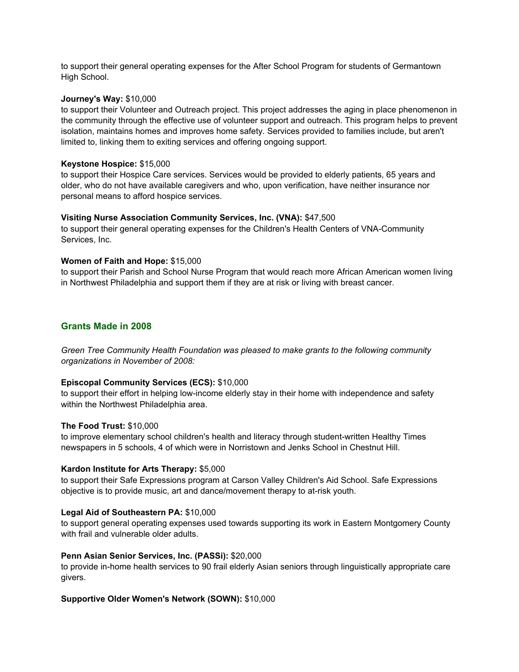to support their general operating expenses for the After School Program for students of Germantown High School.

#### **Journey's Way:** \$10,000

to support their Volunteer and Outreach project. This project addresses the aging in place phenomenon in the community through the effective use of volunteer support and outreach. This program helps to prevent isolation, maintains homes and improves home safety. Services provided to families include, but aren't limited to, linking them to exiting services and offering ongoing support.

#### **Keystone Hospice:** \$15,000

to support their Hospice Care services. Services would be provided to elderly patients, 65 years and older, who do not have available caregivers and who, upon verification, have neither insurance nor personal means to afford hospice services.

#### **Visiting Nurse Association Community Services, Inc. (VNA):** \$47,500

to support their general operating expenses for the Children's Health Centers of VNA-Community Services, Inc.

#### **Women of Faith and Hope:** \$15,000

to support their Parish and School Nurse Program that would reach more African American women living in Northwest Philadelphia and support them if they are at risk or living with breast cancer.

## **Grants Made in 2008**

*Green Tree Community Health Foundation was pleased to make grants to the following community organizations in November of 2008:*

#### **Episcopal Community Services (ECS):** \$10,000

to support their effort in helping low-income elderly stay in their home with independence and safety within the Northwest Philadelphia area.

#### **The Food Trust:** \$10,000

to improve elementary school children's health and literacy through student-written Healthy Times newspapers in 5 schools, 4 of which were in Norristown and Jenks School in Chestnut Hill.

#### **Kardon Institute for Arts Therapy:** \$5,000

to support their Safe Expressions program at Carson Valley Children's Aid School. Safe Expressions objective is to provide music, art and dance/movement therapy to at-risk youth.

#### **Legal Aid of Southeastern PA:** \$10,000

to support general operating expenses used towards supporting its work in Eastern Montgomery County with frail and vulnerable older adults.

#### **Penn Asian Senior Services, Inc. (PASSi):** \$20,000

to provide in-home health services to 90 frail elderly Asian seniors through linguistically appropriate care givers.

#### **Supportive Older Women's Network (SOWN):** \$10,000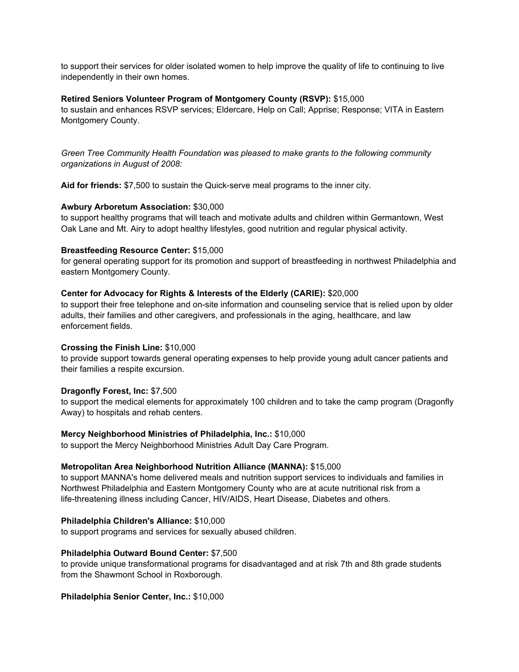to support their services for older isolated women to help improve the quality of life to continuing to live independently in their own homes.

#### **Retired Seniors Volunteer Program of Montgomery County (RSVP):** \$15,000

to sustain and enhances RSVP services; Eldercare, Help on Call; Apprise; Response; VITA in Eastern Montgomery County.

*Green Tree Community Health Foundation was pleased to make grants to the following community organizations in August of 2008:*

**Aid for friends:** \$7,500 to sustain the Quick-serve meal programs to the inner city.

#### **Awbury Arboretum Association:** \$30,000

to support healthy programs that will teach and motivate adults and children within Germantown, West Oak Lane and Mt. Airy to adopt healthy lifestyles, good nutrition and regular physical activity.

#### **Breastfeeding Resource Center:** \$15,000

for general operating support for its promotion and support of breastfeeding in northwest Philadelphia and eastern Montgomery County.

#### **Center for Advocacy for Rights & Interests of the Elderly (CARIE):** \$20,000

to support their free telephone and on-site information and counseling service that is relied upon by older adults, their families and other caregivers, and professionals in the aging, healthcare, and law enforcement fields.

#### **Crossing the Finish Line:** \$10,000

to provide support towards general operating expenses to help provide young adult cancer patients and their families a respite excursion.

#### **Dragonfly Forest, Inc:** \$7,500

to support the medical elements for approximately 100 children and to take the camp program (Dragonfly Away) to hospitals and rehab centers.

#### **Mercy Neighborhood Ministries of Philadelphia, Inc.:** \$10,000

to support the Mercy Neighborhood Ministries Adult Day Care Program.

#### **Metropolitan Area Neighborhood Nutrition Alliance (MANNA):** \$15,000

to support MANNA's home delivered meals and nutrition support services to individuals and families in Northwest Philadelphia and Eastern Montgomery County who are at acute nutritional risk from a life-threatening illness including Cancer, HIV/AIDS, Heart Disease, Diabetes and others.

#### **Philadelphia Children's Alliance:** \$10,000

to support programs and services for sexually abused children.

#### **Philadelphia Outward Bound Center:** \$7,500

to provide unique transformational programs for disadvantaged and at risk 7th and 8th grade students from the Shawmont School in Roxborough.

#### **Philadelphia Senior Center, Inc.:** \$10,000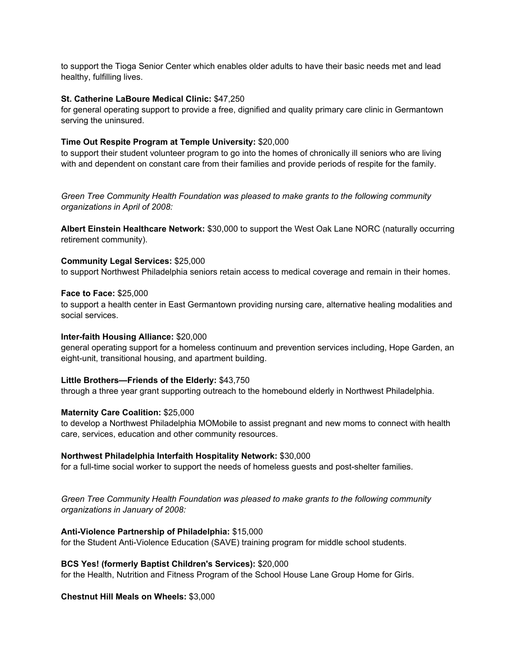to support the Tioga Senior Center which enables older adults to have their basic needs met and lead healthy, fulfilling lives.

#### **St. Catherine LaBoure Medical Clinic:** \$47,250

for general operating support to provide a free, dignified and quality primary care clinic in Germantown serving the uninsured.

#### **Time Out Respite Program at Temple University:** \$20,000

to support their student volunteer program to go into the homes of chronically ill seniors who are living with and dependent on constant care from their families and provide periods of respite for the family.

*Green Tree Community Health Foundation was pleased to make grants to the following community organizations in April of 2008:*

**Albert Einstein Healthcare Network:** \$30,000 to support the West Oak Lane NORC (naturally occurring retirement community).

#### **Community Legal Services:** \$25,000

to support Northwest Philadelphia seniors retain access to medical coverage and remain in their homes.

#### **Face to Face:** \$25,000

to support a health center in East Germantown providing nursing care, alternative healing modalities and social services.

#### **Inter-faith Housing Alliance:** \$20,000

general operating support for a homeless continuum and prevention services including, Hope Garden, an eight-unit, transitional housing, and apartment building.

#### **Little Brothers—Friends of the Elderly:** \$43,750

through a three year grant supporting outreach to the homebound elderly in Northwest Philadelphia.

#### **Maternity Care Coalition:** \$25,000

to develop a Northwest Philadelphia MOMobile to assist pregnant and new moms to connect with health care, services, education and other community resources.

#### **Northwest Philadelphia Interfaith Hospitality Network:** \$30,000

for a full-time social worker to support the needs of homeless guests and post-shelter families.

*Green Tree Community Health Foundation was pleased to make grants to the following community organizations in January of 2008:*

#### **Anti-Violence Partnership of Philadelphia:** \$15,000

for the Student Anti-Violence Education (SAVE) training program for middle school students.

#### **BCS Yes! (formerly Baptist Children's Services):** \$20,000

for the Health, Nutrition and Fitness Program of the School House Lane Group Home for Girls.

#### **Chestnut Hill Meals on Wheels:** \$3,000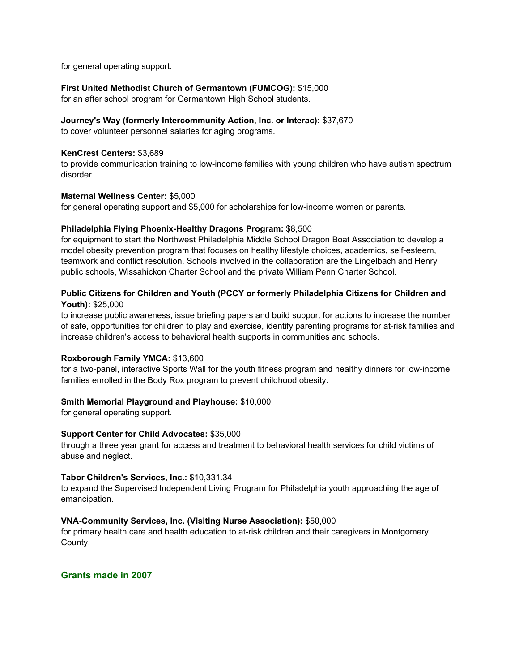for general operating support.

# **First United Methodist Church of Germantown (FUMCOG):** \$15,000

for an after school program for Germantown High School students.

# **Journey's Way (formerly Intercommunity Action, Inc. or Interac):** \$37,670

to cover volunteer personnel salaries for aging programs.

# **KenCrest Centers:** \$3,689

to provide communication training to low-income families with young children who have autism spectrum disorder.

# **Maternal Wellness Center:** \$5,000

for general operating support and \$5,000 for scholarships for low-income women or parents.

# **Philadelphia Flying Phoenix-Healthy Dragons Program:** \$8,500

for equipment to start the Northwest Philadelphia Middle School Dragon Boat Association to develop a model obesity prevention program that focuses on healthy lifestyle choices, academics, self-esteem, teamwork and conflict resolution. Schools involved in the collaboration are the Lingelbach and Henry public schools, Wissahickon Charter School and the private William Penn Charter School.

# **Public Citizens for Children and Youth (PCCY or formerly Philadelphia Citizens for Children and Youth):** \$25,000

to increase public awareness, issue briefing papers and build support for actions to increase the number of safe, opportunities for children to play and exercise, identify parenting programs for at-risk families and increase children's access to behavioral health supports in communities and schools.

# **Roxborough Family YMCA:** \$13,600

for a two-panel, interactive Sports Wall for the youth fitness program and healthy dinners for low-income families enrolled in the Body Rox program to prevent childhood obesity.

# **Smith Memorial Playground and Playhouse:** \$10,000

for general operating support.

# **Support Center for Child Advocates:** \$35,000

through a three year grant for access and treatment to behavioral health services for child victims of abuse and neglect.

# **Tabor Children's Services, Inc.:** \$10,331.34

to expand the Supervised Independent Living Program for Philadelphia youth approaching the age of emancipation.

# **VNA-Community Services, Inc. (Visiting Nurse Association):** \$50,000

for primary health care and health education to at-risk children and their caregivers in Montgomery County.

# **Grants made in 2007**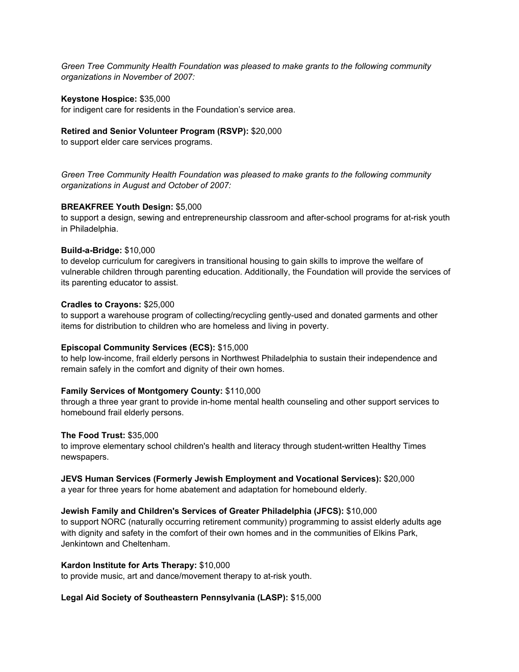*Green Tree Community Health Foundation was pleased to make grants to the following community organizations in November of 2007:*

#### **Keystone Hospice:** \$35,000

for indigent care for residents in the Foundation's service area.

#### **Retired and Senior Volunteer Program (RSVP):** \$20,000

to support elder care services programs.

*Green Tree Community Health Foundation was pleased to make grants to the following community organizations in August and October of 2007:*

#### **BREAKFREE Youth Design:** \$5,000

to support a design, sewing and entrepreneurship classroom and after-school programs for at-risk youth in Philadelphia.

#### **Build-a-Bridge:** \$10,000

to develop curriculum for caregivers in transitional housing to gain skills to improve the welfare of vulnerable children through parenting education. Additionally, the Foundation will provide the services of its parenting educator to assist.

#### **Cradles to Crayons:** \$25,000

to support a warehouse program of collecting/recycling gently-used and donated garments and other items for distribution to children who are homeless and living in poverty.

#### **Episcopal Community Services (ECS):** \$15,000

to help low-income, frail elderly persons in Northwest Philadelphia to sustain their independence and remain safely in the comfort and dignity of their own homes.

#### **Family Services of Montgomery County:** \$110,000

through a three year grant to provide in-home mental health counseling and other support services to homebound frail elderly persons.

#### **The Food Trust:** \$35,000

to improve elementary school children's health and literacy through student-written Healthy Times newspapers.

#### **JEVS Human Services (Formerly Jewish Employment and Vocational Services):** \$20,000

a year for three years for home abatement and adaptation for homebound elderly.

#### **Jewish Family and Children's Services of Greater Philadelphia (JFCS):** \$10,000

to support NORC (naturally occurring retirement community) programming to assist elderly adults age with dignity and safety in the comfort of their own homes and in the communities of Elkins Park, Jenkintown and Cheltenham.

#### **Kardon Institute for Arts Therapy:** \$10,000

to provide music, art and dance/movement therapy to at-risk youth.

#### **Legal Aid Society of Southeastern Pennsylvania (LASP):** \$15,000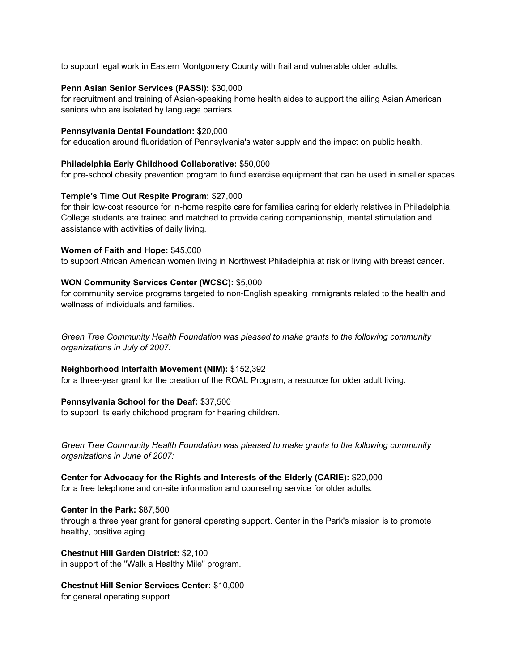to support legal work in Eastern Montgomery County with frail and vulnerable older adults.

## **Penn Asian Senior Services (PASSI):** \$30,000

for recruitment and training of Asian-speaking home health aides to support the ailing Asian American seniors who are isolated by language barriers.

## **Pennsylvania Dental Foundation:** \$20,000

for education around fluoridation of Pennsylvania's water supply and the impact on public health.

## **Philadelphia Early Childhood Collaborative:** \$50,000

for pre-school obesity prevention program to fund exercise equipment that can be used in smaller spaces.

## **Temple's Time Out Respite Program:** \$27,000

for their low-cost resource for in-home respite care for families caring for elderly relatives in Philadelphia. College students are trained and matched to provide caring companionship, mental stimulation and assistance with activities of daily living.

## **Women of Faith and Hope:** \$45,000

to support African American women living in Northwest Philadelphia at risk or living with breast cancer.

## **WON Community Services Center (WCSC):** \$5,000

for community service programs targeted to non-English speaking immigrants related to the health and wellness of individuals and families.

*Green Tree Community Health Foundation was pleased to make grants to the following community organizations in July of 2007:*

# **Neighborhood Interfaith Movement (NIM):** \$152,392

for a three-year grant for the creation of the ROAL Program, a resource for older adult living.

# **Pennsylvania School for the Deaf:** \$37,500

to support its early childhood program for hearing children.

*Green Tree Community Health Foundation was pleased to make grants to the following community organizations in June of 2007:*

# **Center for Advocacy for the Rights and Interests of the Elderly (CARIE):** \$20,000

for a free telephone and on-site information and counseling service for older adults.

#### **Center in the Park:** \$87,500

through a three year grant for general operating support. Center in the Park's mission is to promote healthy, positive aging.

**Chestnut Hill Garden District:** \$2,100 in support of the "Walk a Healthy Mile" program.

# **Chestnut Hill Senior Services Center:** \$10,000

for general operating support.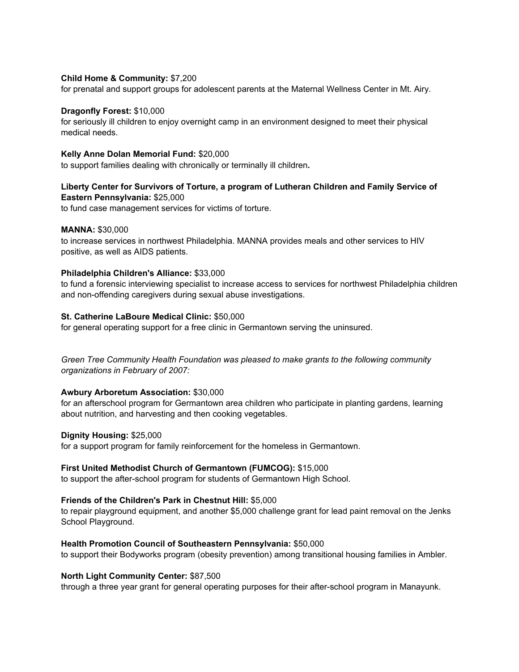## **Child Home & Community:** \$7,200

for prenatal and support groups for adolescent parents at the Maternal Wellness Center in Mt. Airy.

#### **Dragonfly Forest:** \$10,000

for seriously ill children to enjoy overnight camp in an environment designed to meet their physical medical needs.

## **Kelly Anne Dolan Memorial Fund:** \$20,000

to support families dealing with chronically or terminally ill children**.**

# **Liberty Center for Survivors of Torture, a program of Lutheran Children and Family Service of Eastern Pennsylvania:** \$25,000

to fund case management services for victims of torture.

## **MANNA:** \$30,000

to increase services in northwest Philadelphia. MANNA provides meals and other services to HIV positive, as well as AIDS patients.

## **Philadelphia Children's Alliance:** \$33,000

to fund a forensic interviewing specialist to increase access to services for northwest Philadelphia children and non-offending caregivers during sexual abuse investigations.

## **St. Catherine LaBoure Medical Clinic:** \$50,000

for general operating support for a free clinic in Germantown serving the uninsured.

*Green Tree Community Health Foundation was pleased to make grants to the following community organizations in February of 2007:*

# **Awbury Arboretum Association:** \$30,000

for an afterschool program for Germantown area children who participate in planting gardens, learning about nutrition, and harvesting and then cooking vegetables.

#### **Dignity Housing:** \$25,000

for a support program for family reinforcement for the homeless in Germantown.

#### **First United Methodist Church of Germantown (FUMCOG):** \$15,000

to support the after-school program for students of Germantown High School.

# **Friends of the Children's Park in Chestnut Hill:** \$5,000

to repair playground equipment, and another \$5,000 challenge grant for lead paint removal on the Jenks School Playground.

#### **Health Promotion Council of Southeastern Pennsylvania:** \$50,000

to support their Bodyworks program (obesity prevention) among transitional housing families in Ambler.

# **North Light Community Center:** \$87,500

through a three year grant for general operating purposes for their after-school program in Manayunk.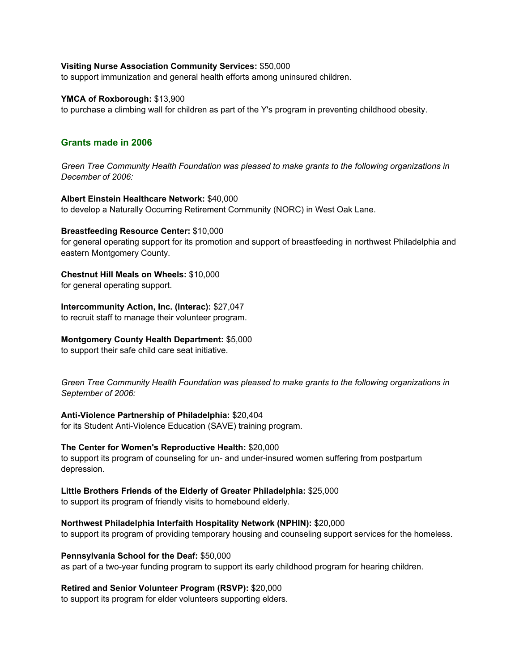#### **Visiting Nurse Association Community Services:** \$50,000

to support immunization and general health efforts among uninsured children.

#### **YMCA of Roxborough:** \$13,900

to purchase a climbing wall for children as part of the Y's program in preventing childhood obesity.

# **Grants made in 2006**

*Green Tree Community Health Foundation was pleased to make grants to the following organizations in December of 2006:*

## **Albert Einstein Healthcare Network:** \$40,000

to develop a Naturally Occurring Retirement Community (NORC) in West Oak Lane.

## **Breastfeeding Resource Center:** \$10,000

for general operating support for its promotion and support of breastfeeding in northwest Philadelphia and eastern Montgomery County.

# **Chestnut Hill Meals on Wheels:** \$10,000

for general operating support.

## **Intercommunity Action, Inc. (Interac):** \$27,047

to recruit staff to manage their volunteer program.

#### **Montgomery County Health Department:** \$5,000

to support their safe child care seat initiative.

*Green Tree Community Health Foundation was pleased to make grants to the following organizations in September of 2006:*

# **Anti-Violence Partnership of Philadelphia:** \$20,404

for its Student Anti-Violence Education (SAVE) training program.

# **The Center for Women's Reproductive Health:** \$20,000

to support its program of counseling for un- and under-insured women suffering from postpartum depression.

# **Little Brothers Friends of the Elderly of Greater Philadelphia:** \$25,000

to support its program of friendly visits to homebound elderly.

# **Northwest Philadelphia Interfaith Hospitality Network (NPHIN):** \$20,000

to support its program of providing temporary housing and counseling support services for the homeless.

#### **Pennsylvania School for the Deaf:** \$50,000

as part of a two-year funding program to support its early childhood program for hearing children.

# **Retired and Senior Volunteer Program (RSVP):** \$20,000

to support its program for elder volunteers supporting elders.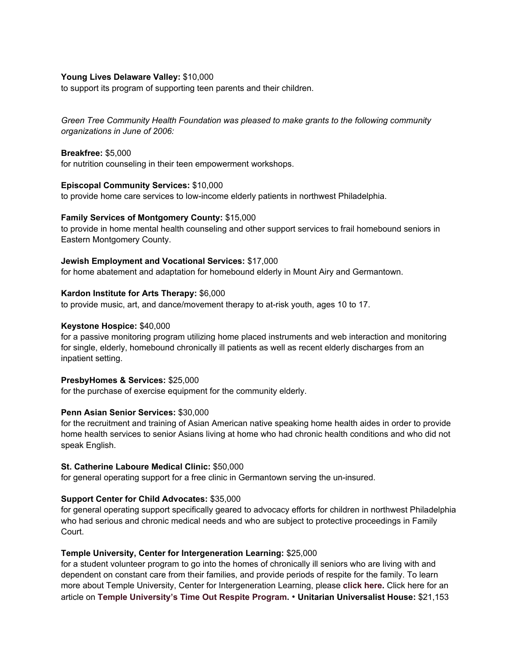## **Young Lives Delaware Valley:** \$10,000

to support its program of supporting teen parents and their children.

*Green Tree Community Health Foundation was pleased to make grants to the following community organizations in June of 2006:*

## **Breakfree:** \$5,000

for nutrition counseling in their teen empowerment workshops.

## **Episcopal Community Services:** \$10,000

to provide home care services to low-income elderly patients in northwest Philadelphia.

# **Family Services of Montgomery County:** \$15,000

to provide in home mental health counseling and other support services to frail homebound seniors in Eastern Montgomery County.

## **Jewish Employment and Vocational Services:** \$17,000

for home abatement and adaptation for homebound elderly in Mount Airy and Germantown.

# **Kardon Institute for Arts Therapy:** \$6,000

to provide music, art, and dance/movement therapy to at-risk youth, ages 10 to 17.

## **Keystone Hospice:** \$40,000

for a passive monitoring program utilizing home placed instruments and web interaction and monitoring for single, elderly, homebound chronically ill patients as well as recent elderly discharges from an inpatient setting.

#### **PresbyHomes & Services:** \$25,000

for the purchase of exercise equipment for the community elderly.

# **Penn Asian Senior Services:** \$30,000

for the recruitment and training of Asian American native speaking home health aides in order to provide home health services to senior Asians living at home who had chronic health conditions and who did not speak English.

# **St. Catherine Laboure Medical Clinic:** \$50,000

for general operating support for a free clinic in Germantown serving the un-insured.

# **Support Center for Child Advocates:** \$35,000

for general operating support specifically geared to advocacy efforts for children in northwest Philadelphia who had serious and chronic medical needs and who are subject to protective proceedings in Family Court.

# **Temple University, Center for Intergeneration Learning:** \$25,000

for a student volunteer program to go into the homes of chronically ill seniors who are living with and dependent on constant care from their families, and provide periods of respite for the family. To learn more about Temple University, Center for Intergeneration Learning, please **c lick here.** Click here for an article on **Temple University's Time Out Respite Program.** • **Unitarian Universalist House:** \$21,153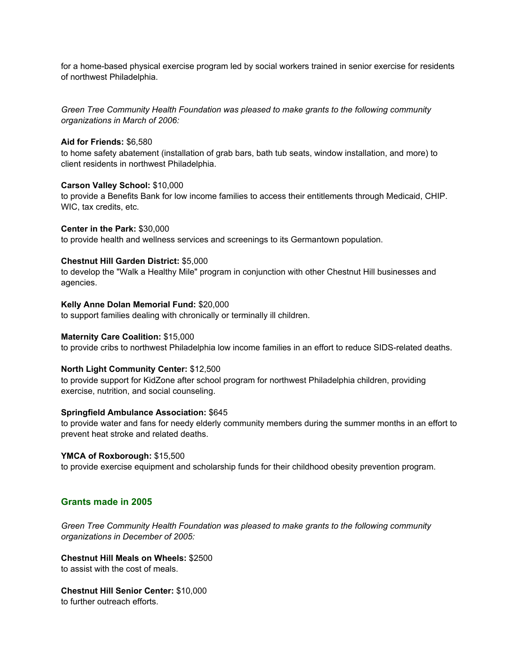for a home-based physical exercise program led by social workers trained in senior exercise for residents of northwest Philadelphia.

*Green Tree Community Health Foundation was pleased to make grants to the following community organizations in March of 2006:*

#### **Aid for Friends:** \$6,580

to home safety abatement (installation of grab bars, bath tub seats, window installation, and more) to client residents in northwest Philadelphia.

#### **Carson Valley School:** \$10,000

to provide a Benefits Bank for low income families to access their entitlements through Medicaid, CHIP. WIC, tax credits, etc.

**Center in the Park:** \$30,000

to provide health and wellness services and screenings to its Germantown population.

## **Chestnut Hill Garden District:** \$5,000

to develop the "Walk a Healthy Mile" program in conjunction with other Chestnut Hill businesses and agencies.

#### **Kelly Anne Dolan Memorial Fund:** \$20,000

to support families dealing with chronically or terminally ill children.

#### **Maternity Care Coalition:** \$15,000

to provide cribs to northwest Philadelphia low income families in an effort to reduce SIDS-related deaths.

#### **North Light Community Center:** \$12,500

to provide support for KidZone after school program for northwest Philadelphia children, providing exercise, nutrition, and social counseling.

#### **Springfield Ambulance Association:** \$645

to provide water and fans for needy elderly community members during the summer months in an effort to prevent heat stroke and related deaths.

#### **YMCA of Roxborough:** \$15,500

to provide exercise equipment and scholarship funds for their childhood obesity prevention program.

#### **Grants made in 2005**

*Green Tree Community Health Foundation was pleased to make grants to the following community organizations in December of 2005:*

**Chestnut Hill Meals on Wheels:** \$2500 to assist with the cost of meals.

**Chestnut Hill Senior Center:** \$10,000 to further outreach efforts.